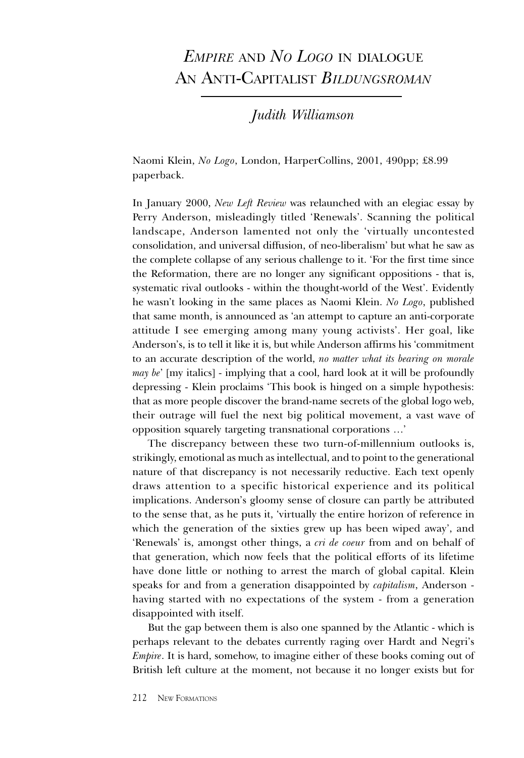## EMPIRE AND NO LOGO IN DIALOGUE AN ANTI-CAPITALIST BILDUNGSROMAN

Judith Williamson

Naomi Klein, No Logo, London, HarperCollins, 2001, 490pp; £8.99 paperback.

In January 2000, New Left Review was relaunched with an elegiac essay by Perry Anderson, misleadingly titled 'Renewals'. Scanning the political landscape, Anderson lamented not only the 'virtually uncontested consolidation, and universal diffusion, of neo-liberalism' but what he saw as the complete collapse of any serious challenge to it. For the first time since the Reformation, there are no longer any significant oppositions - that is, systematic rival outlooks - within the thought-world of the West. Evidently he wasn't looking in the same places as Naomi Klein. No Logo, published that same month, is announced as 'an attempt to capture an anti-corporate attitude I see emerging among many young activists'. Her goal, like Anderson's, is to tell it like it is, but while Anderson affirms his 'commitment to an accurate description of the world, no matter what its bearing on morale *may be'* [my italics] - implying that a cool, hard look at it will be profoundly depressing - Klein proclaims This book is hinged on a simple hypothesis: that as more people discover the brand-name secrets of the global logo web, their outrage will fuel the next big political movement, a vast wave of opposition squarely targeting transnational corporations

The discrepancy between these two turn-of-millennium outlooks is, strikingly, emotional as much as intellectual, and to point to the generational nature of that discrepancy is not necessarily reductive. Each text openly draws attention to a specific historical experience and its political implications. Anderson's gloomy sense of closure can partly be attributed to the sense that, as he puts it, virtually the entire horizon of reference in which the generation of the sixties grew up has been wiped away', and Renewals' is, amongst other things, a *cri de coeur* from and on behalf of that generation, which now feels that the political efforts of its lifetime have done little or nothing to arrest the march of global capital. Klein speaks for and from a generation disappointed by capitalism, Anderson having started with no expectations of the system - from a generation disappointed with itself.

But the gap between them is also one spanned by the Atlantic - which is perhaps relevant to the debates currently raging over Hardt and Negris Empire. It is hard, somehow, to imagine either of these books coming out of British left culture at the moment, not because it no longer exists but for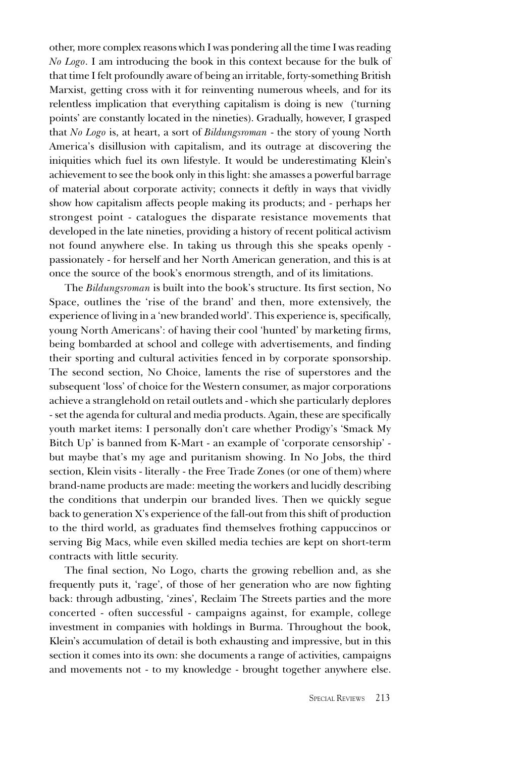other, more complex reasons which I was pondering all the time I was reading No Logo. I am introducing the book in this context because for the bulk of that time I felt profoundly aware of being an irritable, forty-something British Marxist, getting cross with it for reinventing numerous wheels, and for its relentless implication that everything capitalism is doing is new (turning points' are constantly located in the nineties). Gradually, however, I grasped that No Logo is, at heart, a sort of Bildungsroman - the story of young North America's disillusion with capitalism, and its outrage at discovering the iniquities which fuel its own lifestyle. It would be underestimating Klein's achievement to see the book only in this light: she amasses a powerful barrage of material about corporate activity; connects it deftly in ways that vividly show how capitalism affects people making its products; and - perhaps her strongest point - catalogues the disparate resistance movements that developed in the late nineties, providing a history of recent political activism not found anywhere else. In taking us through this she speaks openly passionately - for herself and her North American generation, and this is at once the source of the book's enormous strength, and of its limitations.

The Bildungsroman is built into the book's structure. Its first section, No Space, outlines the 'rise of the brand' and then, more extensively, the experience of living in a 'new branded world'. This experience is, specifically, young North Americans': of having their cool 'hunted' by marketing firms, being bombarded at school and college with advertisements, and finding their sporting and cultural activities fenced in by corporate sponsorship. The second section, No Choice, laments the rise of superstores and the subsequent 'loss' of choice for the Western consumer, as major corporations achieve a stranglehold on retail outlets and - which she particularly deplores - set the agenda for cultural and media products. Again, these are specifically youth market items: I personally don't care whether Prodigy's 'Smack My Bitch Up' is banned from K-Mart - an example of 'corporate censorship' but maybe that's my age and puritanism showing. In No Jobs, the third section, Klein visits - literally - the Free Trade Zones (or one of them) where brand-name products are made: meeting the workers and lucidly describing the conditions that underpin our branded lives. Then we quickly segue back to generation X's experience of the fall-out from this shift of production to the third world, as graduates find themselves frothing cappuccinos or serving Big Macs, while even skilled media techies are kept on short-term contracts with little security.

The final section, No Logo, charts the growing rebellion and, as she frequently puts it, 'rage', of those of her generation who are now fighting back: through adbusting, 'zines', Reclaim The Streets parties and the more concerted - often successful - campaigns against, for example, college investment in companies with holdings in Burma. Throughout the book, Klein's accumulation of detail is both exhausting and impressive, but in this section it comes into its own: she documents a range of activities, campaigns and movements not - to my knowledge - brought together anywhere else.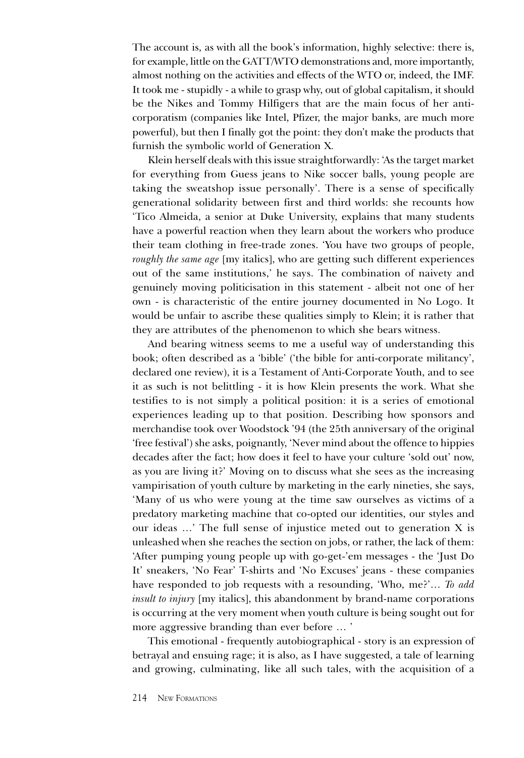The account is, as with all the book's information, highly selective: there is, for example, little on the GATT/WTO demonstrations and, more importantly, almost nothing on the activities and effects of the WTO or, indeed, the IMF. It took me - stupidly - a while to grasp why, out of global capitalism, it should be the Nikes and Tommy Hilfigers that are the main focus of her anticorporatism (companies like Intel, Pfizer, the major banks, are much more powerful), but then I finally got the point: they don't make the products that furnish the symbolic world of Generation X.

Klein herself deals with this issue straightforwardly: As the target market for everything from Guess jeans to Nike soccer balls, young people are taking the sweatshop issue personally. There is a sense of specifically generational solidarity between first and third worlds: she recounts how Tico Almeida, a senior at Duke University, explains that many students have a powerful reaction when they learn about the workers who produce their team clothing in free-trade zones. You have two groups of people, roughly the same age [my italics], who are getting such different experiences out of the same institutions,' he says. The combination of naivety and genuinely moving politicisation in this statement - albeit not one of her own - is characteristic of the entire journey documented in No Logo. It would be unfair to ascribe these qualities simply to Klein; it is rather that they are attributes of the phenomenon to which she bears witness.

And bearing witness seems to me a useful way of understanding this book; often described as a 'bible' ('the bible for anti-corporate militancy', declared one review), it is a Testament of Anti-Corporate Youth, and to see it as such is not belittling - it is how Klein presents the work. What she testifies to is not simply a political position: it is a series of emotional experiences leading up to that position. Describing how sponsors and merchandise took over Woodstock 94 (the 25th anniversary of the original free festival) she asks, poignantly, Never mind about the offence to hippies decades after the fact; how does it feel to have your culture 'sold out' now, as you are living it? Moving on to discuss what she sees as the increasing vampirisation of youth culture by marketing in the early nineties, she says, Many of us who were young at the time saw ourselves as victims of a predatory marketing machine that co-opted our identities, our styles and our ideas ...' The full sense of injustice meted out to generation X is unleashed when she reaches the section on jobs, or rather, the lack of them: After pumping young people up with go-get-'em messages - the 'Just Do' It' sneakers, 'No Fear' T-shirts and 'No Excuses' jeans - these companies have responded to job requests with a resounding, 'Who, me?'... To add insult to injury [my italics], this abandonment by brand-name corporations is occurring at the very moment when youth culture is being sought out for more aggressive branding than ever before ...'

This emotional - frequently autobiographical - story is an expression of betrayal and ensuing rage; it is also, as I have suggested, a tale of learning and growing, culminating, like all such tales, with the acquisition of a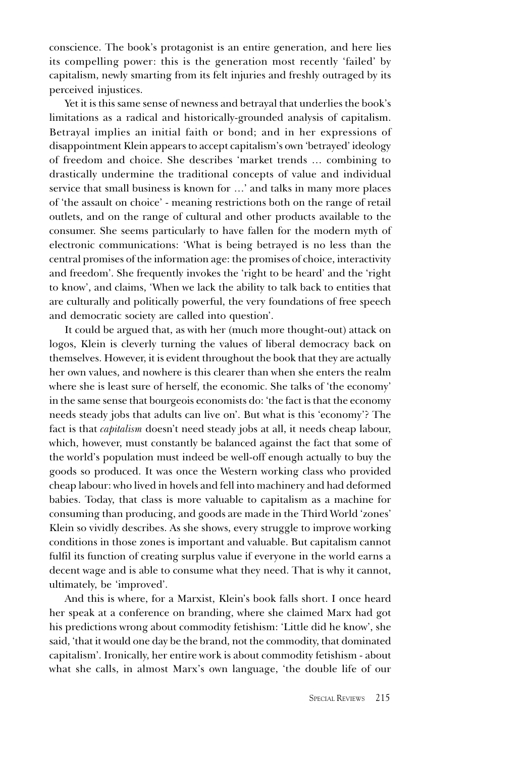conscience. The book's protagonist is an entire generation, and here lies its compelling power: this is the generation most recently 'failed' by capitalism, newly smarting from its felt injuries and freshly outraged by its perceived injustices.

Yet it is this same sense of newness and betrayal that underlies the book's limitations as a radical and historically-grounded analysis of capitalism. Betrayal implies an initial faith or bond; and in her expressions of disappointment Klein appears to accept capitalism's own 'betrayed' ideology of freedom and choice. She describes 'market trends ... combining to drastically undermine the traditional concepts of value and individual service that small business is known for ...' and talks in many more places of 'the assault on choice' - meaning restrictions both on the range of retail outlets, and on the range of cultural and other products available to the consumer. She seems particularly to have fallen for the modern myth of electronic communications: What is being betrayed is no less than the central promises of the information age: the promises of choice, interactivity and freedom'. She frequently invokes the 'right to be heard' and the 'right to know, and claims, When we lack the ability to talk back to entities that are culturally and politically powerful, the very foundations of free speech and democratic society are called into question'.

It could be argued that, as with her (much more thought-out) attack on logos, Klein is cleverly turning the values of liberal democracy back on themselves. However, it is evident throughout the book that they are actually her own values, and nowhere is this clearer than when she enters the realm where she is least sure of herself, the economic. She talks of 'the economy' in the same sense that bourgeois economists do: the fact is that the economy needs steady jobs that adults can live on'. But what is this 'economy'? The fact is that *capitalism* doesn't need steady jobs at all, it needs cheap labour, which, however, must constantly be balanced against the fact that some of the world's population must indeed be well-off enough actually to buy the goods so produced. It was once the Western working class who provided cheap labour: who lived in hovels and fell into machinery and had deformed babies. Today, that class is more valuable to capitalism as a machine for consuming than producing, and goods are made in the Third World 'zones' Klein so vividly describes. As she shows, every struggle to improve working conditions in those zones is important and valuable. But capitalism cannot fulfil its function of creating surplus value if everyone in the world earns a decent wage and is able to consume what they need. That is why it cannot, ultimately, be 'improved'.

And this is where, for a Marxist, Klein's book falls short. I once heard her speak at a conference on branding, where she claimed Marx had got his predictions wrong about commodity fetishism: 'Little did he know', she said, that it would one day be the brand, not the commodity, that dominated capitalism. Ironically, her entire work is about commodity fetishism - about what she calls, in almost Marx's own language, 'the double life of our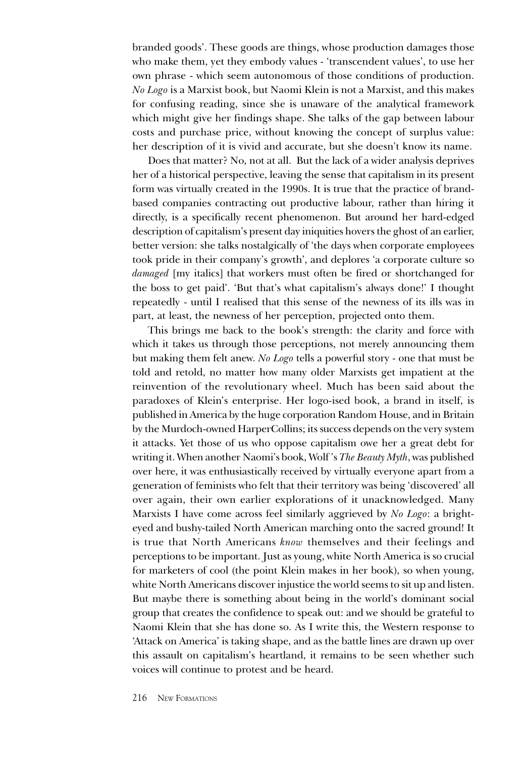branded goods. These goods are things, whose production damages those who make them, yet they embody values - 'transcendent values', to use her own phrase - which seem autonomous of those conditions of production. No Logo is a Marxist book, but Naomi Klein is not a Marxist, and this makes for confusing reading, since she is unaware of the analytical framework which might give her findings shape. She talks of the gap between labour costs and purchase price, without knowing the concept of surplus value: her description of it is vivid and accurate, but she doesn't know its name.

Does that matter? No, not at all. But the lack of a wider analysis deprives her of a historical perspective, leaving the sense that capitalism in its present form was virtually created in the 1990s. It is true that the practice of brandbased companies contracting out productive labour, rather than hiring it directly, is a specifically recent phenomenon. But around her hard-edged description of capitalism's present day iniquities hovers the ghost of an earlier, better version: she talks nostalgically of 'the days when corporate employees took pride in their company's growth', and deplores 'a corporate culture so damaged [my italics] that workers must often be fired or shortchanged for the boss to get paid'. 'But that's what capitalism's always done!' I thought repeatedly - until I realised that this sense of the newness of its ills was in part, at least, the newness of her perception, projected onto them.

This brings me back to the book's strength: the clarity and force with which it takes us through those perceptions, not merely announcing them but making them felt anew. No Logo tells a powerful story - one that must be told and retold, no matter how many older Marxists get impatient at the reinvention of the revolutionary wheel. Much has been said about the paradoxes of Klein's enterprise. Her logo-ised book, a brand in itself, is published in America by the huge corporation Random House, and in Britain by the Murdoch-owned HarperCollins; its success depends on the very system it attacks. Yet those of us who oppose capitalism owe her a great debt for writing it. When another Naomi's book, Wolf 's The Beauty Myth, was published over here, it was enthusiastically received by virtually everyone apart from a generation of feminists who felt that their territory was being 'discovered' all over again, their own earlier explorations of it unacknowledged. Many Marxists I have come across feel similarly aggrieved by No Logo: a brighteyed and bushy-tailed North American marching onto the sacred ground! It is true that North Americans know themselves and their feelings and perceptions to be important. Just as young, white North America is so crucial for marketers of cool (the point Klein makes in her book), so when young, white North Americans discover injustice the world seems to sit up and listen. But maybe there is something about being in the world's dominant social group that creates the confidence to speak out: and we should be grateful to Naomi Klein that she has done so. As I write this, the Western response to Attack on America' is taking shape, and as the battle lines are drawn up over this assault on capitalism's heartland, it remains to be seen whether such voices will continue to protest and be heard.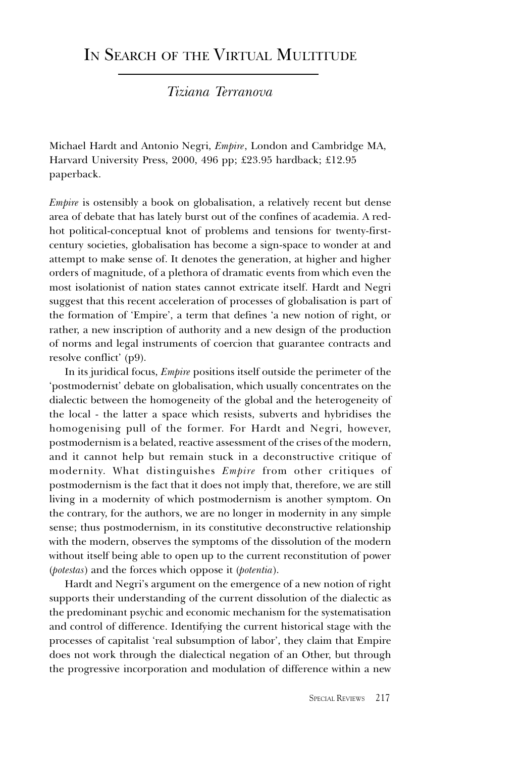## IN SEARCH OF THE VIRTUAL MULTITUDE

#### Tiziana Terranova

Michael Hardt and Antonio Negri, Empire, London and Cambridge MA, Harvard University Press, 2000, 496 pp; £23.95 hardback; £12.95 paperback.

Empire is ostensibly a book on globalisation, a relatively recent but dense area of debate that has lately burst out of the confines of academia. A redhot political-conceptual knot of problems and tensions for twenty-firstcentury societies, globalisation has become a sign-space to wonder at and attempt to make sense of. It denotes the generation, at higher and higher orders of magnitude, of a plethora of dramatic events from which even the most isolationist of nation states cannot extricate itself. Hardt and Negri suggest that this recent acceleration of processes of globalisation is part of the formation of 'Empire', a term that defines 'a new notion of right, or rather, a new inscription of authority and a new design of the production of norms and legal instruments of coercion that guarantee contracts and resolve conflict' (p9).

In its juridical focus, Empire positions itself outside the perimeter of the 'postmodernist' debate on globalisation, which usually concentrates on the dialectic between the homogeneity of the global and the heterogeneity of the local - the latter a space which resists, subverts and hybridises the homogenising pull of the former. For Hardt and Negri, however, postmodernism is a belated, reactive assessment of the crises of the modern, and it cannot help but remain stuck in a deconstructive critique of modernity. What distinguishes Empire from other critiques of postmodernism is the fact that it does not imply that, therefore, we are still living in a modernity of which postmodernism is another symptom. On the contrary, for the authors, we are no longer in modernity in any simple sense; thus postmodernism, in its constitutive deconstructive relationship with the modern, observes the symptoms of the dissolution of the modern without itself being able to open up to the current reconstitution of power (potestas) and the forces which oppose it (potentia).

Hardt and Negri's argument on the emergence of a new notion of right supports their understanding of the current dissolution of the dialectic as the predominant psychic and economic mechanism for the systematisation and control of difference. Identifying the current historical stage with the processes of capitalist 'real subsumption of labor', they claim that Empire does not work through the dialectical negation of an Other, but through the progressive incorporation and modulation of difference within a new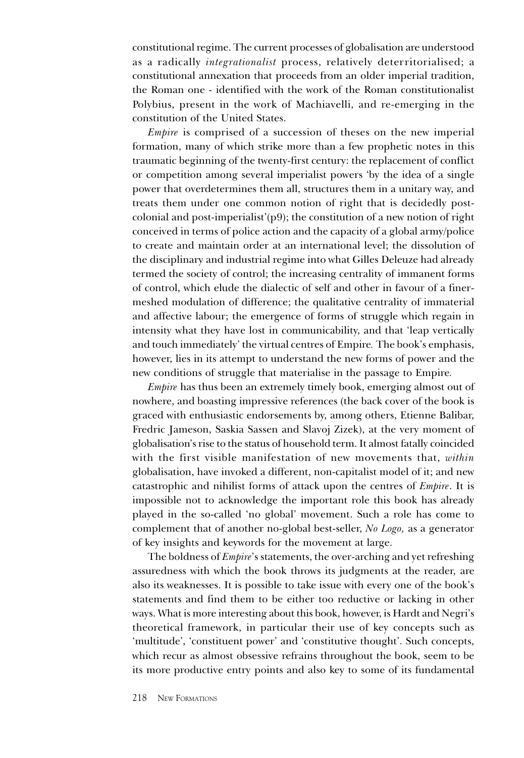constitutional regime. The current processes of globalisation are understood as a radically integrationalist process, relatively deterritorialised; a constitutional annexation that proceeds from an older imperial tradition, the Roman one - identified with the work of the Roman constitutionalist Polybius, present in the work of Machiavelli, and re-emerging in the constitution of the United States.

Empire is comprised of a succession of theses on the new imperial formation, many of which strike more than a few prophetic notes in this traumatic beginning of the twenty-first century: the replacement of conflict or competition among several imperialist powers 'by the idea of a single power that overdetermines them all, structures them in a unitary way, and treats them under one common notion of right that is decidedly postcolonial and post-imperialist'(p9); the constitution of a new notion of right conceived in terms of police action and the capacity of a global army/police to create and maintain order at an international level; the dissolution of the disciplinary and industrial regime into what Gilles Deleuze had already termed the society of control; the increasing centrality of immanent forms of control, which elude the dialectic of self and other in favour of a finermeshed modulation of difference; the qualitative centrality of immaterial and affective labour; the emergence of forms of struggle which regain in intensity what they have lost in communicability, and that leap vertically and touch immediately' the virtual centres of Empire. The book's emphasis, however, lies in its attempt to understand the new forms of power and the new conditions of struggle that materialise in the passage to Empire.

Empire has thus been an extremely timely book, emerging almost out of nowhere, and boasting impressive references (the back cover of the book is graced with enthusiastic endorsements by, among others, Etienne Balibar, Fredric Jameson, Saskia Sassen and Slavoj Zizek), at the very moment of globalisation's rise to the status of household term. It almost fatally coincided with the first visible manifestation of new movements that, within globalisation, have invoked a different, non-capitalist model of it; and new catastrophic and nihilist forms of attack upon the centres of Empire. It is impossible not to acknowledge the important role this book has already played in the so-called 'no global' movement. Such a role has come to complement that of another no-global best-seller, No Logo, as a generator of key insights and keywords for the movement at large.

The boldness of *Empire*'s statements, the over-arching and yet refreshing assuredness with which the book throws its judgments at the reader, are also its weaknesses. It is possible to take issue with every one of the book's statements and find them to be either too reductive or lacking in other ways. What is more interesting about this book, however, is Hardt and Negri's theoretical framework, in particular their use of key concepts such as 'multitude', 'constituent power' and 'constitutive thought'. Such concepts, which recur as almost obsessive refrains throughout the book, seem to be its more productive entry points and also key to some of its fundamental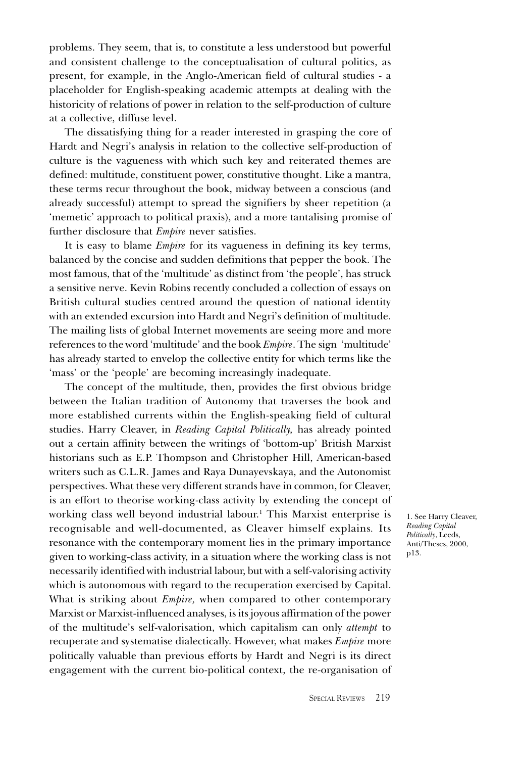problems. They seem, that is, to constitute a less understood but powerful and consistent challenge to the conceptualisation of cultural politics, as present, for example, in the Anglo-American field of cultural studies - a placeholder for English-speaking academic attempts at dealing with the historicity of relations of power in relation to the self-production of culture at a collective, diffuse level.

The dissatisfying thing for a reader interested in grasping the core of Hardt and Negri's analysis in relation to the collective self-production of culture is the vagueness with which such key and reiterated themes are defined: multitude, constituent power, constitutive thought. Like a mantra, these terms recur throughout the book, midway between a conscious (and already successful) attempt to spread the signifiers by sheer repetition (a memetic' approach to political praxis), and a more tantalising promise of further disclosure that Empire never satisfies.

It is easy to blame Empire for its vagueness in defining its key terms, balanced by the concise and sudden definitions that pepper the book. The most famous, that of the 'multitude' as distinct from 'the people', has struck a sensitive nerve. Kevin Robins recently concluded a collection of essays on British cultural studies centred around the question of national identity with an extended excursion into Hardt and Negri's definition of multitude. The mailing lists of global Internet movements are seeing more and more references to the word 'multitude' and the book Empire. The sign 'multitude' has already started to envelop the collective entity for which terms like the 'mass' or the 'people' are becoming increasingly inadequate.

The concept of the multitude, then, provides the first obvious bridge between the Italian tradition of Autonomy that traverses the book and more established currents within the English-speaking field of cultural studies. Harry Cleaver, in Reading Capital Politically, has already pointed out a certain affinity between the writings of 'bottom-up' British Marxist historians such as E.P. Thompson and Christopher Hill, American-based writers such as C.L.R. James and Raya Dunayevskaya, and the Autonomist perspectives. What these very different strands have in common, for Cleaver, is an effort to theorise working-class activity by extending the concept of working class well beyond industrial labour.<sup>1</sup> This Marxist enterprise is recognisable and well-documented, as Cleaver himself explains. Its resonance with the contemporary moment lies in the primary importance given to working-class activity, in a situation where the working class is not necessarily identified with industrial labour, but with a self-valorising activity which is autonomous with regard to the recuperation exercised by Capital. What is striking about *Empire*, when compared to other contemporary Marxist or Marxist-influenced analyses, is its joyous affirmation of the power of the multitude's self-valorisation, which capitalism can only attempt to recuperate and systematise dialectically. However, what makes Empire more politically valuable than previous efforts by Hardt and Negri is its direct engagement with the current bio-political context, the re-organisation of

1. See Harry Cleaver, Reading Capital Politically, Leeds, Anti/Theses, 2000, p13.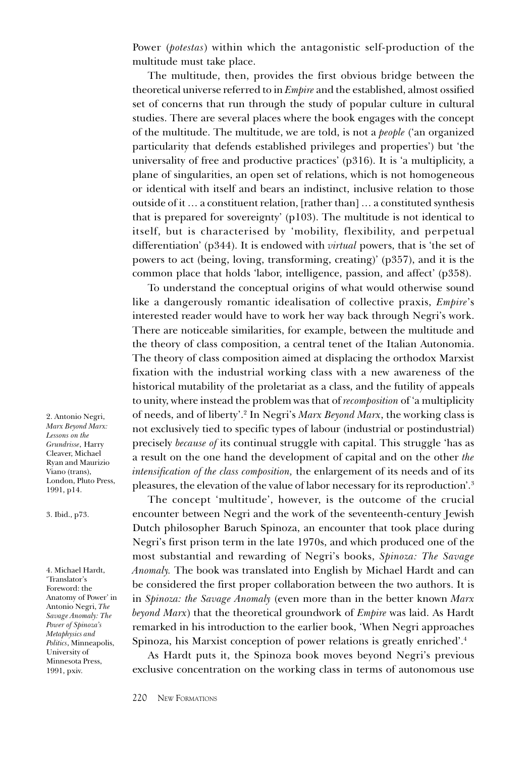Power (*potestas*) within which the antagonistic self-production of the multitude must take place.

The multitude, then, provides the first obvious bridge between the theoretical universe referred to in Empire and the established, almost ossified set of concerns that run through the study of popular culture in cultural studies. There are several places where the book engages with the concept of the multitude. The multitude, we are told, is not a *people* ('an organized particularity that defends established privileges and properties') but 'the universality of free and productive practices'  $(p316)$ . It is 'a multiplicity, a plane of singularities, an open set of relations, which is not homogeneous or identical with itself and bears an indistinct, inclusive relation to those outside of it  $\ldots$  a constituent relation, [rather than]  $\ldots$  a constituted synthesis that is prepared for sovereignty'  $(p103)$ . The multitude is not identical to itself, but is characterised by 'mobility, flexibility, and perpetual differentiation' (p344). It is endowed with *virtual* powers, that is 'the set of powers to act (being, loving, transforming, creating) (p357), and it is the common place that holds 'labor, intelligence, passion, and affect' (p358).

To understand the conceptual origins of what would otherwise sound like a dangerously romantic idealisation of collective praxis, *Empire's* interested reader would have to work her way back through Negri's work. There are noticeable similarities, for example, between the multitude and the theory of class composition, a central tenet of the Italian Autonomia. The theory of class composition aimed at displacing the orthodox Marxist fixation with the industrial working class with a new awareness of the historical mutability of the proletariat as a class, and the futility of appeals to unity, where instead the problem was that of recomposition of 'a multiplicity of needs, and of liberty'.<sup>2</sup> In Negri's *Marx Beyond Marx*, the working class is not exclusively tied to specific types of labour (industrial or postindustrial) precisely because of its continual struggle with capital. This struggle has as a result on the one hand the development of capital and on the other the intensification of the class composition, the enlargement of its needs and of its pleasures, the elevation of the value of labor necessary for its reproduction'.<sup>3</sup>

The concept 'multitude', however, is the outcome of the crucial encounter between Negri and the work of the seventeenth-century Jewish Dutch philosopher Baruch Spinoza, an encounter that took place during Negri's first prison term in the late 1970s, and which produced one of the most substantial and rewarding of Negri's books, Spinoza: The Savage Anomaly. The book was translated into English by Michael Hardt and can be considered the first proper collaboration between the two authors. It is in Spinoza: the Savage Anomaly (even more than in the better known Marx beyond Marx) that the theoretical groundwork of Empire was laid. As Hardt remarked in his introduction to the earlier book, When Negri approaches Spinoza, his Marxist conception of power relations is greatly enriched.<sup>4</sup>

As Hardt puts it, the Spinoza book moves beyond Negris previous exclusive concentration on the working class in terms of autonomous use

2. Antonio Negri, Marx Beyond Marx: Lessons on the Grundrisse, Harry Cleaver, Michael Ryan and Maurizio Viano (trans), London, Pluto Press, 1991, p14.

3. Ibid., p73.

4. Michael Hardt, 'Translator's Foreword: the Anatomy of Power' in Antonio Negri, The Savage Anomaly: The Power of Spinoza's Metaphysics and Politics, Minneapolis, University of Minnesota Press, 1991, pxiv.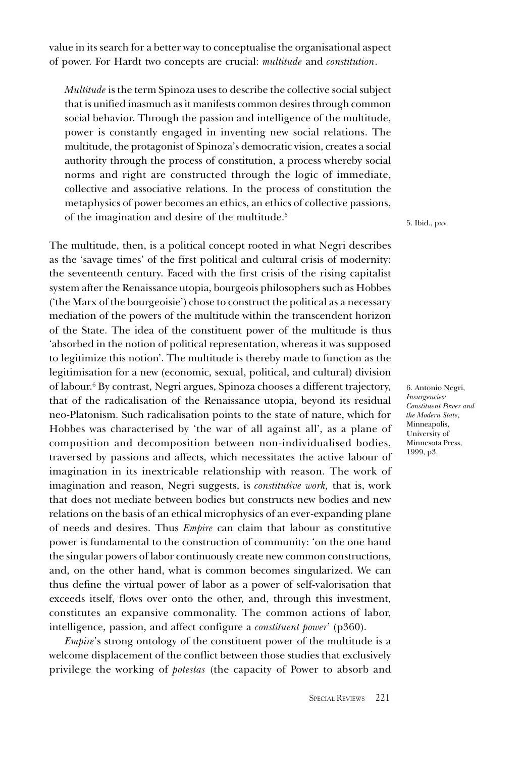value in its search for a better way to conceptualise the organisational aspect of power. For Hardt two concepts are crucial: multitude and constitution.

Multitude is the term Spinoza uses to describe the collective social subject that is unified inasmuch as it manifests common desires through common social behavior. Through the passion and intelligence of the multitude, power is constantly engaged in inventing new social relations. The multitude, the protagonist of Spinoza's democratic vision, creates a social authority through the process of constitution, a process whereby social norms and right are constructed through the logic of immediate, collective and associative relations. In the process of constitution the metaphysics of power becomes an ethics, an ethics of collective passions, of the imagination and desire of the multitude.<sup>5</sup>

The multitude, then, is a political concept rooted in what Negri describes as the 'savage times' of the first political and cultural crisis of modernity: the seventeenth century. Faced with the first crisis of the rising capitalist system after the Renaissance utopia, bourgeois philosophers such as Hobbes (the Marx of the bourgeoisie) chose to construct the political as a necessary mediation of the powers of the multitude within the transcendent horizon of the State. The idea of the constituent power of the multitude is thus absorbed in the notion of political representation, whereas it was supposed to legitimize this notion. The multitude is thereby made to function as the legitimisation for a new (economic, sexual, political, and cultural) division of labour.6 By contrast, Negri argues, Spinoza chooses a different trajectory, that of the radicalisation of the Renaissance utopia, beyond its residual neo-Platonism. Such radicalisation points to the state of nature, which for Hobbes was characterised by 'the war of all against all', as a plane of composition and decomposition between non-individualised bodies, traversed by passions and affects, which necessitates the active labour of imagination in its inextricable relationship with reason. The work of imagination and reason, Negri suggests, is constitutive work, that is, work that does not mediate between bodies but constructs new bodies and new relations on the basis of an ethical microphysics of an ever-expanding plane of needs and desires. Thus Empire can claim that labour as constitutive power is fundamental to the construction of community: 'on the one hand the singular powers of labor continuously create new common constructions, and, on the other hand, what is common becomes singularized. We can thus define the virtual power of labor as a power of self-valorisation that exceeds itself, flows over onto the other, and, through this investment, constitutes an expansive commonality. The common actions of labor, intelligence, passion, and affect configure a *constituent power'* (p360).

Empire's strong ontology of the constituent power of the multitude is a welcome displacement of the conflict between those studies that exclusively privilege the working of potestas (the capacity of Power to absorb and 5. Ibid., pxv.

6. Antonio Negri, Insurgencies: Constituent Power and the Modern State, Minneapolis, University of Minnesota Press, 1999, p3.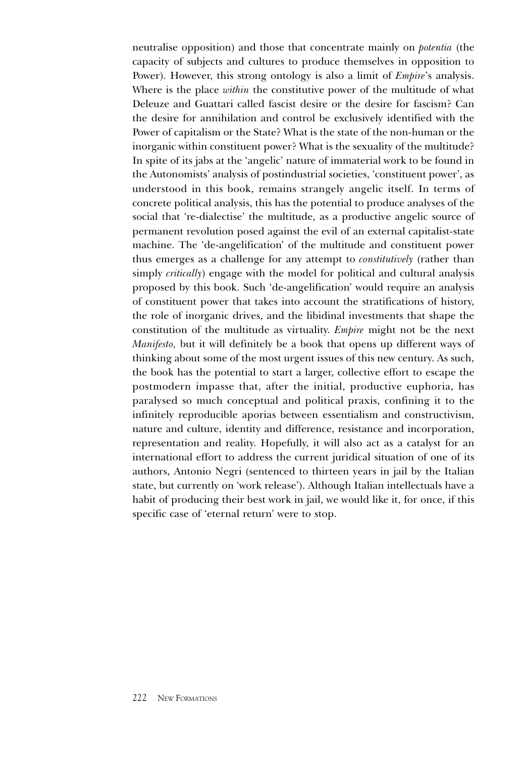neutralise opposition) and those that concentrate mainly on potentia (the capacity of subjects and cultures to produce themselves in opposition to Power). However, this strong ontology is also a limit of *Empire's* analysis. Where is the place *within* the constitutive power of the multitude of what Deleuze and Guattari called fascist desire or the desire for fascism? Can the desire for annihilation and control be exclusively identified with the Power of capitalism or the State? What is the state of the non-human or the inorganic within constituent power? What is the sexuality of the multitude? In spite of its jabs at the 'angelic' nature of immaterial work to be found in the Autonomists' analysis of postindustrial societies, 'constituent power', as understood in this book, remains strangely angelic itself. In terms of concrete political analysis, this has the potential to produce analyses of the social that 're-dialectise' the multitude, as a productive angelic source of permanent revolution posed against the evil of an external capitalist-state machine. The 'de-angelification' of the multitude and constituent power thus emerges as a challenge for any attempt to *constitutively* (rather than simply *critically*) engage with the model for political and cultural analysis proposed by this book. Such 'de-angelification' would require an analysis of constituent power that takes into account the stratifications of history, the role of inorganic drives, and the libidinal investments that shape the constitution of the multitude as virtuality. Empire might not be the next Manifesto, but it will definitely be a book that opens up different ways of thinking about some of the most urgent issues of this new century. As such, the book has the potential to start a larger, collective effort to escape the postmodern impasse that, after the initial, productive euphoria, has paralysed so much conceptual and political praxis, confining it to the infinitely reproducible aporias between essentialism and constructivism, nature and culture, identity and difference, resistance and incorporation, representation and reality. Hopefully, it will also act as a catalyst for an international effort to address the current juridical situation of one of its authors, Antonio Negri (sentenced to thirteen years in jail by the Italian state, but currently on 'work release'). Although Italian intellectuals have a habit of producing their best work in jail, we would like it, for once, if this specific case of 'eternal return' were to stop.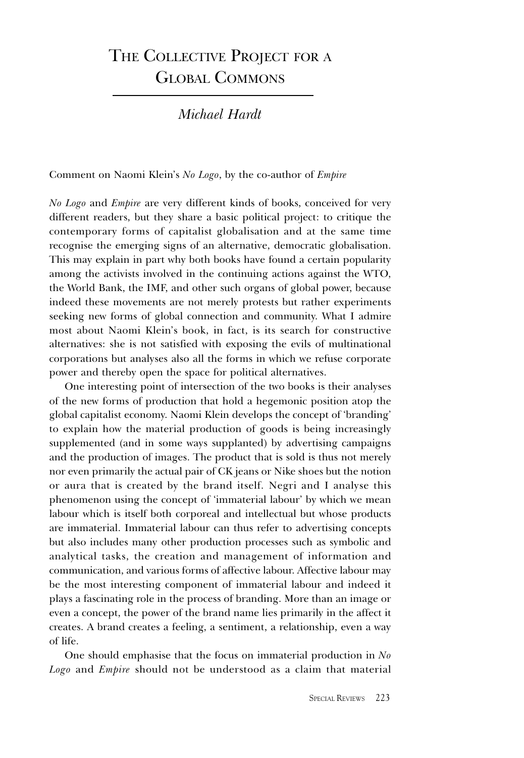# THE COLLECTIVE PROJECT FOR A GLOBAL COMMONS

Michael Hardt

Comment on Naomi Klein's No Logo, by the co-author of Empire

No Logo and Empire are very different kinds of books, conceived for very different readers, but they share a basic political project: to critique the contemporary forms of capitalist globalisation and at the same time recognise the emerging signs of an alternative, democratic globalisation. This may explain in part why both books have found a certain popularity among the activists involved in the continuing actions against the WTO, the World Bank, the IMF, and other such organs of global power, because indeed these movements are not merely protests but rather experiments seeking new forms of global connection and community. What I admire most about Naomi Klein's book, in fact, is its search for constructive alternatives: she is not satisfied with exposing the evils of multinational corporations but analyses also all the forms in which we refuse corporate power and thereby open the space for political alternatives.

One interesting point of intersection of the two books is their analyses of the new forms of production that hold a hegemonic position atop the global capitalist economy. Naomi Klein develops the concept of branding to explain how the material production of goods is being increasingly supplemented (and in some ways supplanted) by advertising campaigns and the production of images. The product that is sold is thus not merely nor even primarily the actual pair of CK jeans or Nike shoes but the notion or aura that is created by the brand itself. Negri and I analyse this phenomenon using the concept of 'immaterial labour' by which we mean labour which is itself both corporeal and intellectual but whose products are immaterial. Immaterial labour can thus refer to advertising concepts but also includes many other production processes such as symbolic and analytical tasks, the creation and management of information and communication, and various forms of affective labour. Affective labour may be the most interesting component of immaterial labour and indeed it plays a fascinating role in the process of branding. More than an image or even a concept, the power of the brand name lies primarily in the affect it creates. A brand creates a feeling, a sentiment, a relationship, even a way of life.

One should emphasise that the focus on immaterial production in No Logo and Empire should not be understood as a claim that material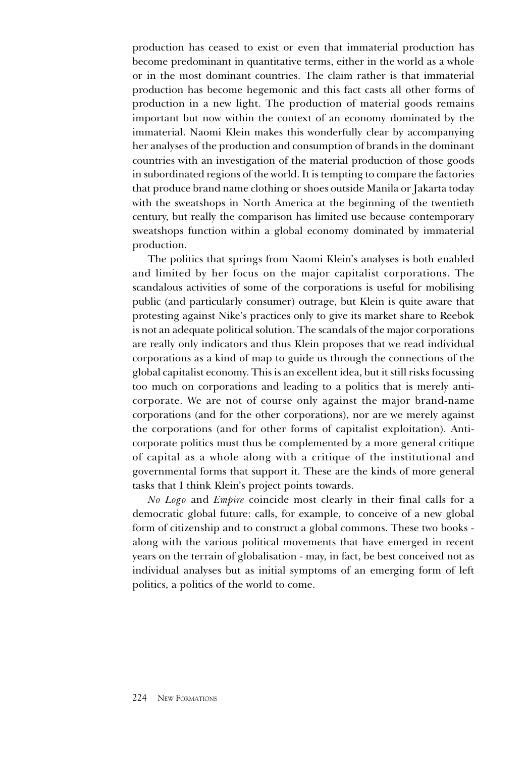production has ceased to exist or even that immaterial production has become predominant in quantitative terms, either in the world as a whole or in the most dominant countries. The claim rather is that immaterial production has become hegemonic and this fact casts all other forms of production in a new light. The production of material goods remains important but now within the context of an economy dominated by the immaterial. Naomi Klein makes this wonderfully clear by accompanying her analyses of the production and consumption of brands in the dominant countries with an investigation of the material production of those goods in subordinated regions of the world. It is tempting to compare the factories that produce brand name clothing or shoes outside Manila or Jakarta today with the sweatshops in North America at the beginning of the twentieth century, but really the comparison has limited use because contemporary sweatshops function within a global economy dominated by immaterial production.

The politics that springs from Naomi Klein's analyses is both enabled and limited by her focus on the major capitalist corporations. The scandalous activities of some of the corporations is useful for mobilising public (and particularly consumer) outrage, but Klein is quite aware that protesting against Nike's practices only to give its market share to Reebok is not an adequate political solution. The scandals of the major corporations are really only indicators and thus Klein proposes that we read individual corporations as a kind of map to guide us through the connections of the global capitalist economy. This is an excellent idea, but it still risks focussing too much on corporations and leading to a politics that is merely anticorporate. We are not of course only against the major brand-name corporations (and for the other corporations), nor are we merely against the corporations (and for other forms of capitalist exploitation). Anticorporate politics must thus be complemented by a more general critique of capital as a whole along with a critique of the institutional and governmental forms that support it. These are the kinds of more general tasks that I think Klein's project points towards.

No Logo and Empire coincide most clearly in their final calls for a democratic global future: calls, for example, to conceive of a new global form of citizenship and to construct a global commons. These two books along with the various political movements that have emerged in recent years on the terrain of globalisation - may, in fact, be best conceived not as individual analyses but as initial symptoms of an emerging form of left politics, a politics of the world to come.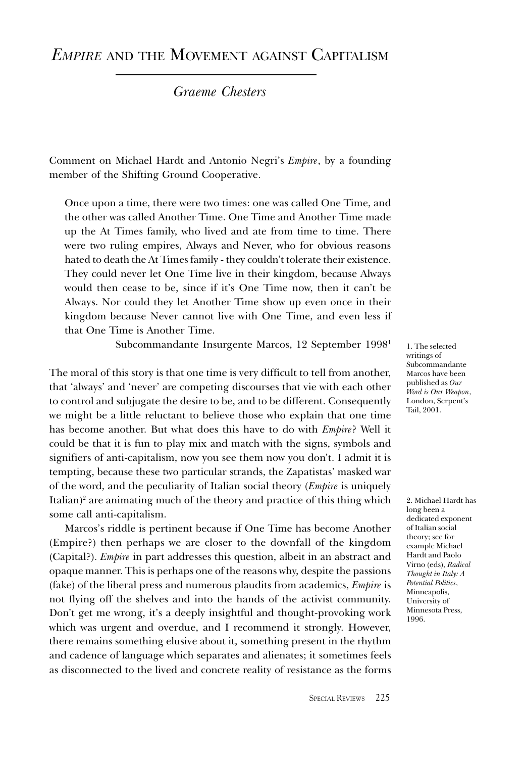## EMPIRE AND THE MOVEMENT AGAINST CAPITALISM

Graeme Chesters

Comment on Michael Hardt and Antonio Negri's *Empire*, by a founding member of the Shifting Ground Cooperative.

Once upon a time, there were two times: one was called One Time, and the other was called Another Time. One Time and Another Time made up the At Times family, who lived and ate from time to time. There were two ruling empires, Always and Never, who for obvious reasons hated to death the At Times family - they couldn't tolerate their existence. They could never let One Time live in their kingdom, because Always would then cease to be, since if it's One Time now, then it can't be Always. Nor could they let Another Time show up even once in their kingdom because Never cannot live with One Time, and even less if that One Time is Another Time.

Subcommandante Insurgente Marcos, 12 September 19981

The moral of this story is that one time is very difficult to tell from another, that 'always' and 'never' are competing discourses that vie with each other to control and subjugate the desire to be, and to be different. Consequently we might be a little reluctant to believe those who explain that one time has become another. But what does this have to do with Empire? Well it could be that it is fun to play mix and match with the signs, symbols and signifiers of anti-capitalism, now you see them now you don't. I admit it is tempting, because these two particular strands, the Zapatistas' masked war of the word, and the peculiarity of Italian social theory (Empire is uniquely Italian)<sup>2</sup> are animating much of the theory and practice of this thing which some call anti-capitalism.

Marcos's riddle is pertinent because if One Time has become Another (Empire?) then perhaps we are closer to the downfall of the kingdom (Capital?). Empire in part addresses this question, albeit in an abstract and opaque manner. This is perhaps one of the reasons why, despite the passions (fake) of the liberal press and numerous plaudits from academics, Empire is not flying off the shelves and into the hands of the activist community. Don't get me wrong, it's a deeply insightful and thought-provoking work which was urgent and overdue, and I recommend it strongly. However, there remains something elusive about it, something present in the rhythm and cadence of language which separates and alienates; it sometimes feels as disconnected to the lived and concrete reality of resistance as the forms

1. The selected writings of Subcommandante Marcos have been published as Our Word is Our Weapon, London, Serpent's Tail, 2001.

2. Michael Hardt has long been a dedicated exponent of Italian social theory; see for example Michael Hardt and Paolo Virno (eds), Radical Thought in Italy: A Potential Politics, Minneapolis, University of Minnesota Press, 1996.